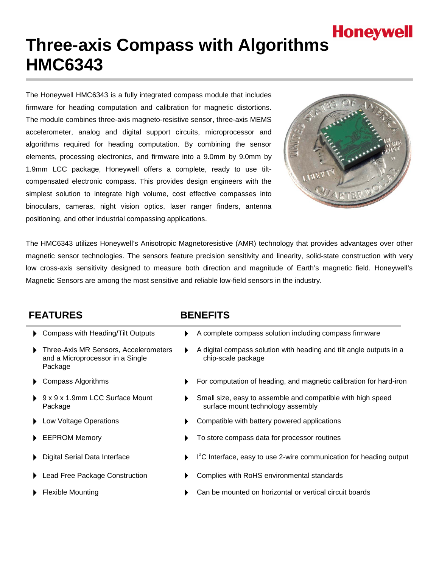# **Honeywell Three-axis Compass with Algorithms HMC6343**

The Honeywell HMC6343 is a fully integrated compass module that includes firmware for heading computation and calibration for magnetic distortions. The module combines three-axis magneto-resistive sensor, three-axis MEMS accelerometer, analog and digital support circuits, microprocessor and algorithms required for heading computation. By combining the sensor elements, processing electronics, and firmware into a 9.0mm by 9.0mm by 1.9mm LCC package, Honeywell offers a complete, ready to use tiltcompensated electronic compass. This provides design engineers with the simplest solution to integrate high volume, cost effective compasses into binoculars, cameras, night vision optics, laser ranger finders, antenna positioning, and other industrial compassing applications.



The HMC6343 utilizes Honeywell's Anisotropic Magnetoresistive (AMR) technology that provides advantages over other magnetic sensor technologies. The sensors feature precision sensitivity and linearity, solid-state construction with very low cross-axis sensitivity designed to measure both direction and magnitude of Earth's magnetic field. Honeywell's Magnetic Sensors are among the most sensitive and reliable low-field sensors in the industry.

### **FEATURES BENEFITS**

- 
- Three-Axis MR Sensors, Accelerometers and a Microprocessor in a Single Package
- 
- 9 x 9 x 1.9mm LCC Surface Mount Package
- 
- 
- Digital Serial Data Interface
- 
- 
- Compass with Heading/Tilt Outputs  $\longrightarrow A$  complete compass solution including compass firmware
	- A digital compass solution with heading and tilt angle outputs in a chip-scale package
- Compass Algorithms **For computation of heading, and magnetic calibration for hard-iron** 
	- Small size, easy to assemble and compatible with high speed surface mount technology assembly
- Low Voltage Operations **Compatible with battery powered applications**
- EEPROM Memory **The CONTEX CONTEX FOLLO EXAMPLE EEPROM Memory To store compass data for processor routines** 
	- $2^2$ C Interface, easy to use 2-wire communication for heading output
- Lead Free Package Construction **b** Complies with RoHS environmental standards
- Flexible Mounting **Can be mounted on horizontal or vertical circuit boards Can be mounted on horizontal or vertical circuit boards**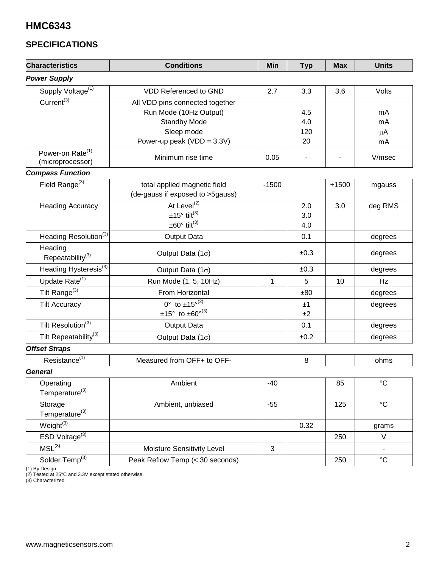### **SPECIFICATIONS**

| <b>Characteristics</b>                           | <b>Conditions</b>                  | Min     | <b>Typ</b> | <b>Max</b> | <b>Units</b>    |
|--------------------------------------------------|------------------------------------|---------|------------|------------|-----------------|
| <b>Power Supply</b>                              |                                    |         |            |            |                 |
| Supply Voltage <sup>(1)</sup>                    | VDD Referenced to GND              | 2.7     | 3.3        | 3.6        | Volts           |
| Current <sup>(3)</sup>                           | All VDD pins connected together    |         |            |            |                 |
|                                                  | Run Mode (10Hz Output)             |         | 4.5        |            | mA              |
|                                                  | <b>Standby Mode</b>                |         | 4.0        |            | mA              |
|                                                  | Sleep mode                         |         | 120        |            | μA              |
|                                                  | Power-up peak (VDD = $3.3V$ )      |         | 20         |            | mA              |
| Power-on Rate <sup>(1)</sup><br>(microprocessor) | Minimum rise time                  | 0.05    |            |            | V/msec          |
| <b>Compass Function</b>                          |                                    |         |            |            |                 |
| Field Range $^{(3)}$                             | total applied magnetic field       | $-1500$ |            | $+1500$    | mgauss          |
|                                                  | (de-gauss if exposed to >5gauss)   |         |            |            |                 |
| <b>Heading Accuracy</b>                          | At Level <sup>(2)</sup>            |         | 2.0        | 3.0        | deg RMS         |
|                                                  | $±15°$ tilt <sup>(3)</sup>         |         | 3.0        |            |                 |
| $\pm 60^\circ$ tilt <sup>(3)</sup>               |                                    |         | 4.0        |            |                 |
| Heading Resolution <sup>(3)</sup>                | Output Data                        |         | 0.1        |            | degrees         |
| Heading<br>Repeatability <sup>(3)</sup>          | Output Data $(1\sigma)$            |         | ±0.3       |            | degrees         |
| Heading Hysteresis $^{(3)}$                      | Output Data $(1\sigma)$            |         | ±0.3       |            | degrees         |
| Update Rate <sup>(1)</sup>                       | Run Mode (1, 5, 10Hz)              | 1       | 5          | 10         | Hz              |
| Tilt Range <sup>(3)</sup>                        | From Horizontal                    |         | ±80        |            | degrees         |
| <b>Tilt Accuracy</b>                             | $0^{\circ}$ to $\pm 15^{\circ(2)}$ |         | ±1         |            | degrees         |
|                                                  | $±15°$ to $±60°^{(3)}$             |         | ±2         |            |                 |
| Tilt Resolution <sup>(3)</sup>                   | Output Data                        |         | 0.1        |            | degrees         |
| Tilt Repeatability <sup>(3)</sup>                | Output Data $(1\sigma)$            |         | ±0.2       |            | degrees         |
| <b>Offset Straps</b>                             |                                    |         |            |            |                 |
| Resistance <sup>(1)</sup>                        | Measured from OFF+ to OFF-         |         | 8          |            | ohms            |
| <b>General</b>                                   |                                    |         |            |            |                 |
| Operating<br>Temperature $^{(3)}$                | Ambient                            | $-40$   |            | 85         | $\rm ^{\circ}C$ |
| Storage<br>Temperature <sup>(3)</sup>            | Ambient, unbiased                  | $-55$   |            | 125        | $^{\circ}C$     |
| Weight <sup>(3)</sup>                            |                                    |         | 0.32       |            | grams           |
| ESD Voltage $\overline{^{(3)}}$                  |                                    |         |            | 250        | V               |
| $MSL^{(3)}$                                      | Moisture Sensitivity Level         | 3       |            |            | $\blacksquare$  |
| Solder Temp <sup>(3)</sup>                       | Peak Reflow Temp (< 30 seconds)    |         |            | 250        | $^{\circ}C$     |

(1) By Design

(2) Tested at 25°C and 3.3V except stated otherwise.

(3) Characterized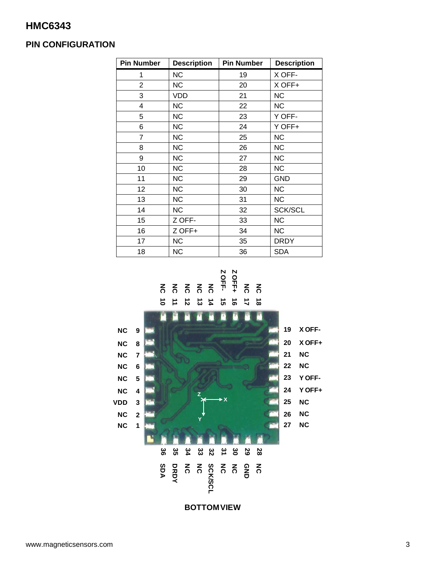### **PIN CONFIGURATION**

| <b>Pin Number</b> | <b>Description</b> | <b>Pin Number</b> | <b>Description</b> |
|-------------------|--------------------|-------------------|--------------------|
| 1                 | <b>NC</b>          | 19                | X OFF-             |
| $\overline{2}$    | <b>NC</b>          | 20                | X OFF+             |
| 3                 | VDD                | 21                | <b>NC</b>          |
| 4                 | <b>NC</b>          | 22                | <b>NC</b>          |
| 5                 | <b>NC</b>          | 23                | Y OFF-             |
| 6                 | <b>NC</b>          | 24                | Y OFF+             |
| 7                 | <b>NC</b>          | 25                | <b>NC</b>          |
| 8                 | <b>NC</b>          | 26                | <b>NC</b>          |
| 9                 | <b>NC</b>          | 27                | <b>NC</b>          |
| 10                | <b>NC</b>          | 28                | <b>NC</b>          |
| 11                | <b>NC</b>          | 29                | <b>GND</b>         |
| 12                | <b>NC</b>          | 30                | <b>NC</b>          |
| 13                | <b>NC</b>          | 31                | <b>NC</b>          |
| 14                | <b>NC</b>          | 32                | <b>SCK/SCL</b>     |
| 15                | Z OFF-             | 33                | <b>NC</b>          |
| 16                | Z OFF+             | 34                | <b>NC</b>          |
| 17                | <b>NC</b>          | 35                | <b>DRDY</b>        |
| 18                | <b>NC</b>          | 36                | <b>SDA</b>         |



**BOTTOM VIEW**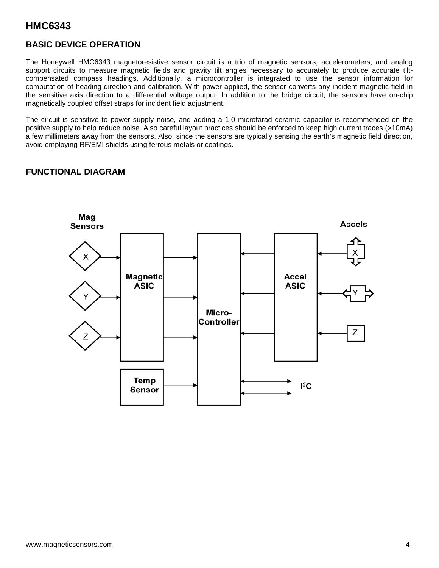### **BASIC DEVICE OPERATION**

The Honeywell HMC6343 magnetoresistive sensor circuit is a trio of magnetic sensors, accelerometers, and analog support circuits to measure magnetic fields and gravity tilt angles necessary to accurately to produce accurate tiltcompensated compass headings. Additionally, a microcontroller is integrated to use the sensor information for computation of heading direction and calibration. With power applied, the sensor converts any incident magnetic field in the sensitive axis direction to a differential voltage output. In addition to the bridge circuit, the sensors have on-chip magnetically coupled offset straps for incident field adjustment.

The circuit is sensitive to power supply noise, and adding a 1.0 microfarad ceramic capacitor is recommended on the positive supply to help reduce noise. Also careful layout practices should be enforced to keep high current traces (>10mA) a few millimeters away from the sensors. Also, since the sensors are typically sensing the earth's magnetic field direction, avoid employing RF/EMI shields using ferrous metals or coatings.

### **FUNCTIONAL DIAGRAM**

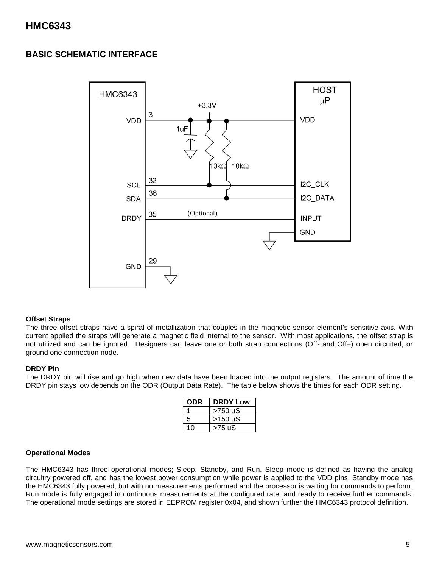### **BASIC SCHEMATIC INTERFACE**



#### **Offset Straps**

The three offset straps have a spiral of metallization that couples in the magnetic sensor element's sensitive axis. With current applied the straps will generate a magnetic field internal to the sensor. With most applications, the offset strap is not utilized and can be ignored. Designers can leave one or both strap connections (Off- and Off+) open circuited, or ground one connection node.

#### **DRDY Pin**

The DRDY pin will rise and go high when new data have been loaded into the output registers. The amount of time the DRDY pin stays low depends on the ODR (Output Data Rate). The table below shows the times for each ODR setting.

| ODR | <b>DRDY Low</b> |
|-----|-----------------|
|     | >750 uS         |
| 5   | $>150$ uS       |
| 10  | >75 uS          |

#### **Operational Modes**

The HMC6343 has three operational modes; Sleep, Standby, and Run. Sleep mode is defined as having the analog circuitry powered off, and has the lowest power consumption while power is applied to the VDD pins. Standby mode has the HMC6343 fully powered, but with no measurements performed and the processor is waiting for commands to perform. Run mode is fully engaged in continuous measurements at the configured rate, and ready to receive further commands. The operational mode settings are stored in EEPROM register 0x04, and shown further the HMC6343 protocol definition.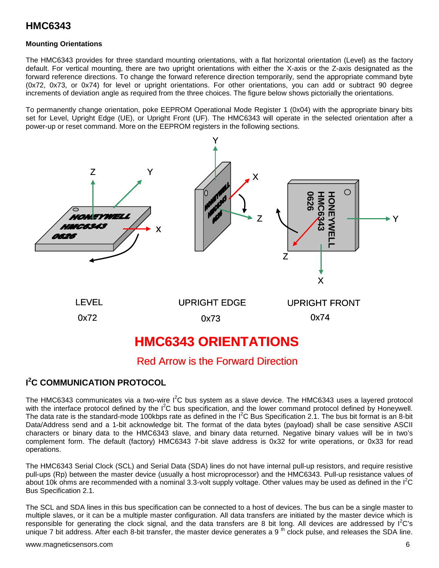#### **Mounting Orientations**

The HMC6343 provides for three standard mounting orientations, with a flat horizontal orientation (Level) as the factory default. For vertical mounting, there are two upright orientations with either the X-axis or the Z-axis designated as the forward reference directions. To change the forward reference direction temporarily, send the appropriate command byte (0x72, 0x73, or 0x74) for level or upright orientations. For other orientations, you can add or subtract 90 degree increments of deviation angle as required from the three choices. The figure below shows pictorially the orientations.

To permanently change orientation, poke EEPROM Operational Mode Register 1 (0x04) with the appropriate binary bits set for Level, Upright Edge (UE), or Upright Front (UF). The HMC6343 will operate in the selected orientation after a power-up or reset command. More on the EEPROM registers in the following sections.



### Red Arrow is the Forward Direction

### **I 2 C COMMUNICATION PROTOCOL**

The HMC6343 communicates via a two-wire  $I^2C$  bus system as a slave device. The HMC6343 uses a layered protocol with the interface protocol defined by the I<sup>2</sup>C bus specification, and the lower command protocol defined by Honeywell. The data rate is the standard-mode 100kbps rate as defined in the  $I^2C$  Bus Specification 2.1. The bus bit format is an 8-bit Data/Address send and a 1-bit acknowledge bit. The format of the data bytes (payload) shall be case sensitive ASCII characters or binary data to the HMC6343 slave, and binary data returned. Negative binary values will be in two's complement form. The default (factory) HMC6343 7-bit slave address is 0x32 for write operations, or 0x33 for read operations.

The HMC6343 Serial Clock (SCL) and Serial Data (SDA) lines do not have internal pull-up resistors, and require resistive pull-ups (Rp) between the master device (usually a host microprocessor) and the HMC6343. Pull-up resistance values of about 10k ohms are recommended with a nominal 3.3-volt supply voltage. Other values may be used as defined in the  $I^2C$ Bus Specification 2.1.

The SCL and SDA lines in this bus specification can be connected to a host of devices. The bus can be a single master to multiple slaves, or it can be a multiple master configuration. All data transfers are initiated by the master device which is responsible for generating the clock signal, and the data transfers are 8 bit long. All devices are addressed by  $I^2C$ 's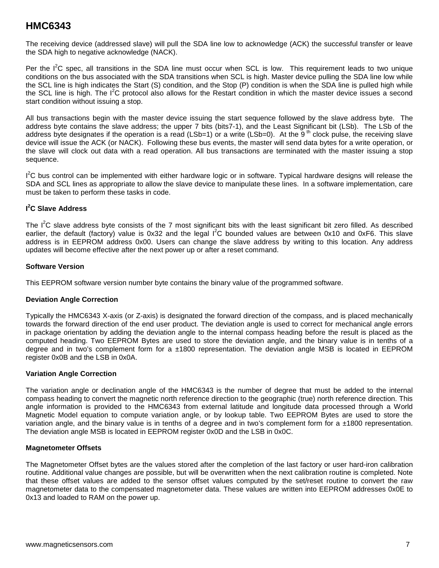The receiving device (addressed slave) will pull the SDA line low to acknowledge (ACK) the successful transfer or leave the SDA high to negative acknowledge (NACK).

Per the  $I^2C$  spec, all transitions in the SDA line must occur when SCL is low. This requirement leads to two unique conditions on the bus associated with the SDA transitions when SCL is high. Master device pulling the SDA line low while the SCL line is high indicates the Start (S) condition, and the Stop (P) condition is when the SDA line is pulled high while the SCL line is high. The I<sup>2</sup>C protocol also allows for the Restart condition in which the master device issues a second start condition without issuing a stop.

All bus transactions begin with the master device issuing the start sequence followed by the slave address byte. The address byte contains the slave address; the upper 7 bits (bits7-1), and the Least Significant bit (LSb). The LSb of the address byte designates if the operation is a read (LSb=1) or a write (LSb=0). At the  $9<sup>th</sup>$  clock pulse, the receiving slave device will issue the ACK (or NACK). Following these bus events, the master will send data bytes for a write operation, or the slave will clock out data with a read operation. All bus transactions are terminated with the master issuing a stop sequence.

I<sup>2</sup>C bus control can be implemented with either hardware logic or in software. Typical hardware designs will release the SDA and SCL lines as appropriate to allow the slave device to manipulate these lines. In a software implementation, care must be taken to perform these tasks in code.

#### **I 2 C Slave Address**

The  $I^2C$  slave address byte consists of the 7 most significant bits with the least significant bit zero filled. As described earlier, the default (factory) value is 0x32 and the legal I<sup>2</sup>C bounded values are between 0x10 and 0xF6. This slave address is in EEPROM address 0x00. Users can change the slave address by writing to this location. Any address updates will become effective after the next power up or after a reset command.

#### **Software Version**

This EEPROM software version number byte contains the binary value of the programmed software.

#### **Deviation Angle Correction**

Typically the HMC6343 X-axis (or Z-axis) is designated the forward direction of the compass, and is placed mechanically towards the forward direction of the end user product. The deviation angle is used to correct for mechanical angle errors in package orientation by adding the deviation angle to the internal compass heading before the result is placed as the computed heading. Two EEPROM Bytes are used to store the deviation angle, and the binary value is in tenths of a degree and in two's complement form for a ±1800 representation. The deviation angle MSB is located in EEPROM register 0x0B and the LSB in 0x0A.

#### **Variation Angle Correction**

The variation angle or declination angle of the HMC6343 is the number of degree that must be added to the internal compass heading to convert the magnetic north reference direction to the geographic (true) north reference direction. This angle information is provided to the HMC6343 from external latitude and longitude data processed through a World Magnetic Model equation to compute variation angle, or by lookup table. Two EEPROM Bytes are used to store the variation angle, and the binary value is in tenths of a degree and in two's complement form for a  $\pm 1800$  representation. The deviation angle MSB is located in EEPROM register 0x0D and the LSB in 0x0C.

#### **Magnetometer Offsets**

The Magnetometer Offset bytes are the values stored after the completion of the last factory or user hard-iron calibration routine. Additional value changes are possible, but will be overwritten when the next calibration routine is completed. Note that these offset values are added to the sensor offset values computed by the set/reset routine to convert the raw magnetometer data to the compensated magnetometer data. These values are written into EEPROM addresses 0x0E to 0x13 and loaded to RAM on the power up.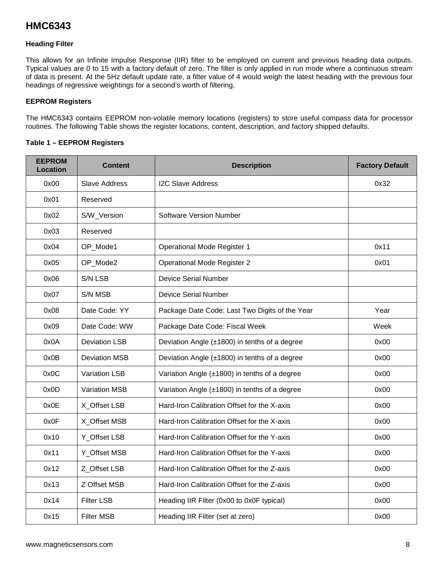#### **Heading Filter**

This allows for an Infinite Impulse Response (IIR) filter to be employed on current and previous heading data outputs. Typical values are 0 to 15 with a factory default of zero. The filter is only applied in run mode where a continuous stream of data is present. At the 5Hz default update rate, a filter value of 4 would weigh the latest heading with the previous four headings of regressive weightings for a second's worth of filtering.

#### **EEPROM Registers**

The HMC6343 contains EEPROM non-volatile memory locations (registers) to store useful compass data for processor routines. The following Table shows the register locations, content, description, and factory shipped defaults.

#### **Table 1 – EEPROM Registers**

| <b>EEPROM</b><br>Location | <b>Content</b>       | <b>Description</b>                                 | <b>Factory Default</b> |
|---------------------------|----------------------|----------------------------------------------------|------------------------|
| 0x00                      | <b>Slave Address</b> | <b>I2C Slave Address</b>                           | 0x32                   |
| 0x01                      | Reserved             |                                                    |                        |
| 0x02                      | S/W_Version          | Software Version Number                            |                        |
| 0x03                      | Reserved             |                                                    |                        |
| 0x04                      | OP_Mode1             | <b>Operational Mode Register 1</b>                 | 0x11                   |
| 0x05                      | OP_Mode2             | <b>Operational Mode Register 2</b>                 | 0x01                   |
| 0x06                      | S/N LSB              | <b>Device Serial Number</b>                        |                        |
| 0x07                      | S/N MSB              | <b>Device Serial Number</b>                        |                        |
| 0x08                      | Date Code: YY        | Package Date Code: Last Two Digits of the Year     | Year                   |
| 0x09                      | Date Code: WW        | Package Date Code: Fiscal Week                     | Week                   |
| 0x0A                      | <b>Deviation LSB</b> | Deviation Angle (±1800) in tenths of a degree      | 0x00                   |
| 0x0B                      | <b>Deviation MSB</b> | Deviation Angle (±1800) in tenths of a degree      | 0x00                   |
| 0x0C                      | Variation LSB        | Variation Angle (±1800) in tenths of a degree      | 0x00                   |
| 0x0D                      | <b>Variation MSB</b> | Variation Angle $(\pm 1800)$ in tenths of a degree | 0x00                   |
| 0x0E                      | X Offset LSB         | Hard-Iron Calibration Offset for the X-axis        | 0x00                   |
| 0x0F                      | X_Offset MSB         | Hard-Iron Calibration Offset for the X-axis        | 0x00                   |
| 0x10                      | Y_Offset LSB         | Hard-Iron Calibration Offset for the Y-axis        | 0x00                   |
| 0x11                      | Y Offset MSB         | Hard-Iron Calibration Offset for the Y-axis        | 0x00                   |
| 0x12                      | Z Offset LSB         | Hard-Iron Calibration Offset for the Z-axis        | 0x00                   |
| 0x13                      | Z Offset MSB         | Hard-Iron Calibration Offset for the Z-axis        | 0x00                   |
| 0x14                      | <b>Filter LSB</b>    | Heading IIR Filter (0x00 to 0x0F typical)          | 0x00                   |
| 0x15                      | <b>Filter MSB</b>    | Heading IIR Filter (set at zero)                   | 0x00                   |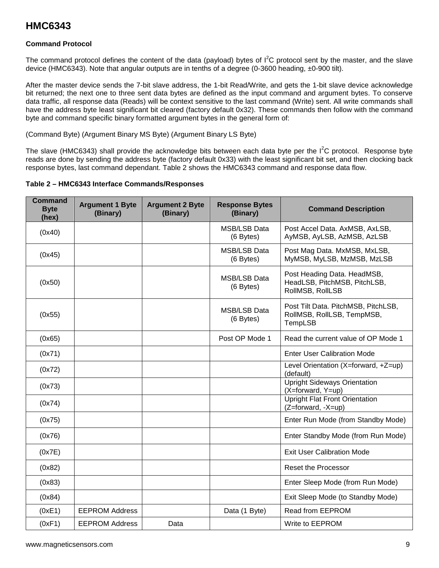#### **Command Protocol**

The command protocol defines the content of the data (payload) bytes of  $I^2C$  protocol sent by the master, and the slave device (HMC6343). Note that angular outputs are in tenths of a degree (0-3600 heading, ±0-900 tilt).

After the master device sends the 7-bit slave address, the 1-bit Read/Write, and gets the 1-bit slave device acknowledge bit returned; the next one to three sent data bytes are defined as the input command and argument bytes. To conserve data traffic, all response data (Reads) will be context sensitive to the last command (Write) sent. All write commands shall have the address byte least significant bit cleared (factory default 0x32). These commands then follow with the command byte and command specific binary formatted argument bytes in the general form of:

(Command Byte) (Argument Binary MS Byte) (Argument Binary LS Byte)

The slave (HMC6343) shall provide the acknowledge bits between each data byte per the  $I^2C$  protocol. Response byte reads are done by sending the address byte (factory default 0x33) with the least significant bit set, and then clocking back response bytes, last command dependant. Table 2 shows the HMC6343 command and response data flow.

| Table 2 - HMC6343 Interface Commands/Responses |  |  |
|------------------------------------------------|--|--|
|------------------------------------------------|--|--|

| Command<br><b>Byte</b><br>(hex) | <b>Argument 1 Byte</b><br>(Binary) | <b>Argument 2 Byte</b><br>(Binary) | <b>Response Bytes</b><br>(Binary) | <b>Command Description</b>                                                      |
|---------------------------------|------------------------------------|------------------------------------|-----------------------------------|---------------------------------------------------------------------------------|
| (0x40)                          |                                    |                                    | <b>MSB/LSB Data</b><br>(6 Bytes)  | Post Accel Data. AxMSB, AxLSB,<br>AyMSB, AyLSB, AzMSB, AzLSB                    |
| (0x45)                          |                                    |                                    | <b>MSB/LSB Data</b><br>(6 Bytes)  | Post Mag Data. MxMSB, MxLSB,<br>MyMSB, MyLSB, MzMSB, MzLSB                      |
| (0x50)                          |                                    |                                    | MSB/LSB Data<br>(6 Bytes)         | Post Heading Data. HeadMSB,<br>HeadLSB, PitchMSB, PitchLSB,<br>RollMSB, RollLSB |
| (0x55)                          |                                    |                                    | <b>MSB/LSB Data</b><br>(6 Bytes)  | Post Tilt Data. PitchMSB, PitchLSB,<br>RollMSB, RollLSB, TempMSB,<br>TempLSB    |
| (0x65)                          |                                    |                                    | Post OP Mode 1                    | Read the current value of OP Mode 1                                             |
| (0x71)                          |                                    |                                    |                                   | <b>Enter User Calibration Mode</b>                                              |
| (0x72)                          |                                    |                                    |                                   | Level Orientation (X=forward, +Z=up)<br>(default)                               |
| (0x73)                          |                                    |                                    |                                   | <b>Upright Sideways Orientation</b><br>(X=forward, Y=up)                        |
| (0x74)                          |                                    |                                    |                                   | <b>Upright Flat Front Orientation</b><br>(Z=forward, -X=up)                     |
| (0x75)                          |                                    |                                    |                                   | Enter Run Mode (from Standby Mode)                                              |
| (0x76)                          |                                    |                                    |                                   | Enter Standby Mode (from Run Mode)                                              |
| (0x7E)                          |                                    |                                    |                                   | <b>Exit User Calibration Mode</b>                                               |
| (0x82)                          |                                    |                                    |                                   | Reset the Processor                                                             |
| (0x83)                          |                                    |                                    |                                   | Enter Sleep Mode (from Run Mode)                                                |
| (0x84)                          |                                    |                                    |                                   | Exit Sleep Mode (to Standby Mode)                                               |
| (0xE1)                          | <b>EEPROM Address</b>              |                                    | Data (1 Byte)                     | Read from EEPROM                                                                |
| (0xF1)                          | <b>EEPROM Address</b>              | Data                               |                                   | Write to EEPROM                                                                 |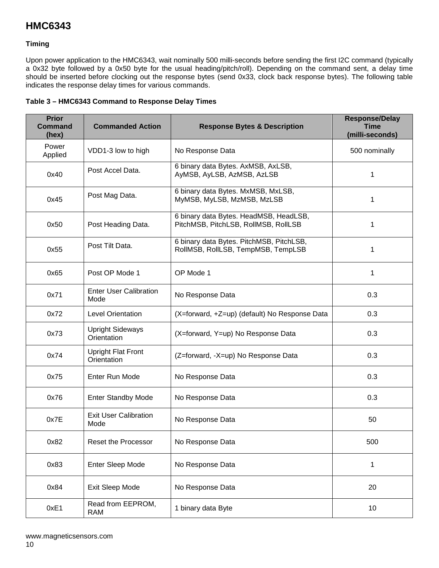#### **Timing**

Upon power application to the HMC6343, wait nominally 500 milli-seconds before sending the first I2C command (typically a 0x32 byte followed by a 0x50 byte for the usual heading/pitch/roll). Depending on the command sent, a delay time should be inserted before clocking out the response bytes (send 0x33, clock back response bytes). The following table indicates the response delay times for various commands.

| Table 3 - HMC6343 Command to Response Delay Times |
|---------------------------------------------------|
|---------------------------------------------------|

| <b>Prior</b><br><b>Command</b><br>(hex) | <b>Commanded Action</b>                  | <b>Response Bytes &amp; Description</b>                                        | <b>Response/Delay</b><br><b>Time</b><br>(milli-seconds) |
|-----------------------------------------|------------------------------------------|--------------------------------------------------------------------------------|---------------------------------------------------------|
| Power<br>Applied                        | VDD1-3 low to high                       | No Response Data                                                               | 500 nominally                                           |
| 0x40                                    | Post Accel Data.                         | 6 binary data Bytes. AxMSB, AxLSB,<br>AyMSB, AyLSB, AzMSB, AzLSB               | 1                                                       |
| 0x45                                    | Post Mag Data.                           | 6 binary data Bytes. MxMSB, MxLSB,<br>MyMSB, MyLSB, MzMSB, MzLSB               | 1                                                       |
| 0x50                                    | Post Heading Data.                       | 6 binary data Bytes. HeadMSB, HeadLSB,<br>PitchMSB, PitchLSB, RollMSB, RollLSB | 1                                                       |
| 0x55                                    | Post Tilt Data.                          | 6 binary data Bytes. PitchMSB, PitchLSB,<br>RollMSB, RollLSB, TempMSB, TempLSB | 1                                                       |
| 0x65                                    | Post OP Mode 1                           | OP Mode 1                                                                      | 1                                                       |
| 0x71                                    | <b>Enter User Calibration</b><br>Mode    | No Response Data                                                               | 0.3                                                     |
| 0x72                                    | <b>Level Orientation</b>                 | (X=forward, +Z=up) (default) No Response Data                                  | 0.3                                                     |
| 0x73                                    | <b>Upright Sideways</b><br>Orientation   | (X=forward, Y=up) No Response Data                                             | 0.3                                                     |
| 0x74                                    | <b>Upright Flat Front</b><br>Orientation | (Z=forward, -X=up) No Response Data                                            | 0.3                                                     |
| 0x75                                    | Enter Run Mode                           | No Response Data                                                               | 0.3                                                     |
| 0x76                                    | <b>Enter Standby Mode</b>                | No Response Data                                                               | 0.3                                                     |
| 0x7E                                    | <b>Exit User Calibration</b><br>Mode     | No Response Data                                                               | 50                                                      |
| 0x82                                    | Reset the Processor                      | No Response Data                                                               | 500                                                     |
| 0x83                                    | Enter Sleep Mode                         | No Response Data                                                               | 1                                                       |
| 0x84                                    | Exit Sleep Mode                          | No Response Data                                                               | 20                                                      |
| 0xE1                                    | Read from EEPROM,<br><b>RAM</b>          | 1 binary data Byte                                                             | 10                                                      |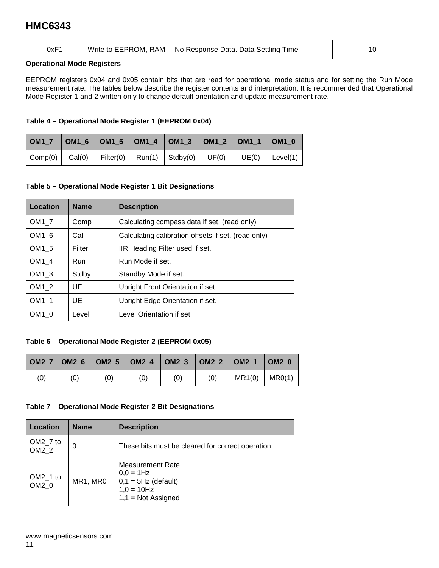| 0xF1<br>- - - | Write to EEPROM, RAM | No Response Data. Data Settling Time | ١O |
|---------------|----------------------|--------------------------------------|----|
|               |                      |                                      |    |

#### **Operational Mode Registers**

EEPROM registers 0x04 and 0x05 contain bits that are read for operational mode status and for setting the Run Mode measurement rate. The tables below describe the register contents and interpretation. It is recommended that Operational Mode Register 1 and 2 written only to change default orientation and update measurement rate.

### **Table 4 – Operational Mode Register 1 (EEPROM 0x04)**

| OM1_7   OM1_6   OM1_5   OM1_4   OM1_3   OM1_2   OM1_1   OM1_0                                                                 |  |  |  |  |
|-------------------------------------------------------------------------------------------------------------------------------|--|--|--|--|
| $\vert$ Comp(0) $\vert$ Cal(0) $\vert$ Filter(0) $\vert$ Run(1) $\vert$ Stdby(0) $\vert$ UF(0) $\vert$ UE(0) $\vert$ Level(1) |  |  |  |  |

### **Table 5 – Operational Mode Register 1 Bit Designations**

| Location          | <b>Name</b> | <b>Description</b>                                  |
|-------------------|-------------|-----------------------------------------------------|
| OM <sub>1</sub> 7 | Comp        | Calculating compass data if set. (read only)        |
| OM1 6             | Cal         | Calculating calibration offsets if set. (read only) |
| OM1 5             | Filter      | IIR Heading Filter used if set.                     |
| OM1 4             | Run         | Run Mode if set.                                    |
| OM <sub>1</sub> 3 | Stdby       | Standby Mode if set.                                |
| OM <sub>1</sub> 2 | UF          | Upright Front Orientation if set.                   |
| OM <sub>1</sub> 1 | UE          | Upright Edge Orientation if set.                    |
| $OM1$ 0           | Level       | Level Orientation if set                            |

### **Table 6 – Operational Mode Register 2 (EEPROM 0x05)**

|     |     |     | OM2_7   OM2_6   OM2_5   OM2_4   OM2_3   OM2_2   OM2_1   OM2_0 |     |                 |  |
|-----|-----|-----|---------------------------------------------------------------|-----|-----------------|--|
| (0) | (0) | (0) | (0)                                                           | (0) | $MR1(0)$ MR0(1) |  |

### **Table 7 – Operational Mode Register 2 Bit Designations**

| Location          | <b>Name</b> | <b>Description</b>                                                                                         |
|-------------------|-------------|------------------------------------------------------------------------------------------------------------|
| OM2_7 to<br>OM2 2 | 0           | These bits must be cleared for correct operation.                                                          |
| OM2_1 to<br>OM2 0 | MR1, MR0    | <b>Measurement Rate</b><br>$0,0 = 1$ Hz<br>$0,1 = 5$ Hz (default)<br>$1,0 = 10$ Hz<br>$1,1 = Not$ Assigned |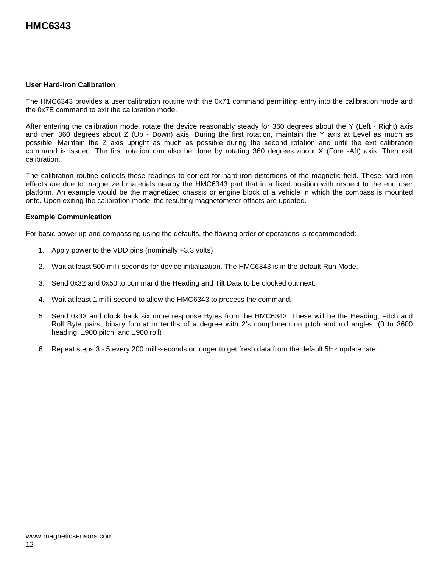#### **User Hard-Iron Calibration**

The HMC6343 provides a user calibration routine with the 0x71 command permitting entry into the calibration mode and the 0x7E command to exit the calibration mode.

After entering the calibration mode, rotate the device reasonably steady for 360 degrees about the Y (Left - Right) axis and then 360 degrees about Z (Up - Down) axis. During the first rotation, maintain the Y axis at Level as much as possible. Maintain the Z axis upright as much as possible during the second rotation and until the exit calibration command is issued. The first rotation can also be done by rotating 360 degrees about X (Fore -Aft) axis. Then exit calibration.

The calibration routine collects these readings to correct for hard-iron distortions of the magnetic field. These hard-iron effects are due to magnetized materials nearby the HMC6343 part that in a fixed position with respect to the end user platform. An example would be the magnetized chassis or engine block of a vehicle in which the compass is mounted onto. Upon exiting the calibration mode, the resulting magnetometer offsets are updated.

#### **Example Communication**

For basic power up and compassing using the defaults, the flowing order of operations is recommended:

- 1. Apply power to the VDD pins (nominally +3.3 volts)
- 2. Wait at least 500 milli-seconds for device initialization. The HMC6343 is in the default Run Mode.
- 3. Send 0x32 and 0x50 to command the Heading and Tilt Data to be clocked out next.
- 4. Wait at least 1 milli-second to allow the HMC6343 to process the command.
- 5. Send 0x33 and clock back six more response Bytes from the HMC6343. These will be the Heading, Pitch and Roll Byte pairs; binary format in tenths of a degree with 2's compliment on pitch and roll angles. (0 to 3600 heading, ±900 pitch, and ±900 roll)
- 6. Repeat steps 3 5 every 200 milli-seconds or longer to get fresh data from the default 5Hz update rate.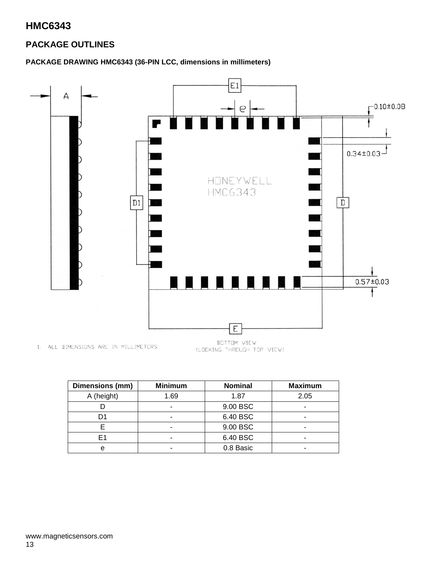### **PACKAGE OUTLINES**

### **PACKAGE DRAWING HMC6343 (36-PIN LCC, dimensions in millimeters)**



1. ALL DIMENSIONS ARE IN MILLIMETERS. (LOOKING THROUGH TOP VIEW)

| Dimensions (mm) | <b>Minimum</b> | <b>Nominal</b> | <b>Maximum</b> |
|-----------------|----------------|----------------|----------------|
| A (height)      | 1.69           | 1.87           | 2.05           |
|                 |                | 9.00 BSC       | -              |
|                 |                | 6.40 BSC       | -              |
|                 |                | 9.00 BSC       |                |
| F1              |                | 6.40 BSC       |                |
| e               |                | 0.8 Basic      |                |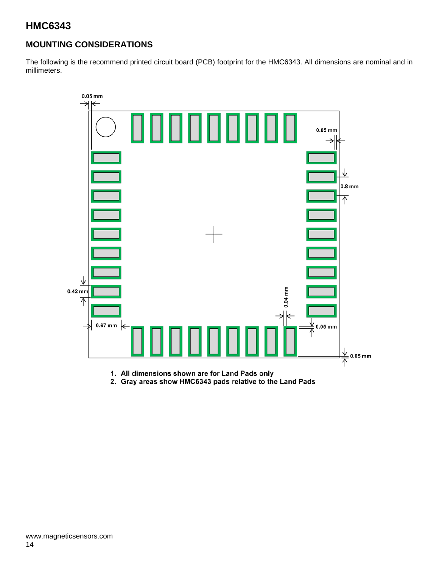### **MOUNTING CONSIDERATIONS**

The following is the recommend printed circuit board (PCB) footprint for the HMC6343. All dimensions are nominal and in millimeters.



1. All dimensions shown are for Land Pads only

2. Gray areas show HMC6343 pads relative to the Land Pads